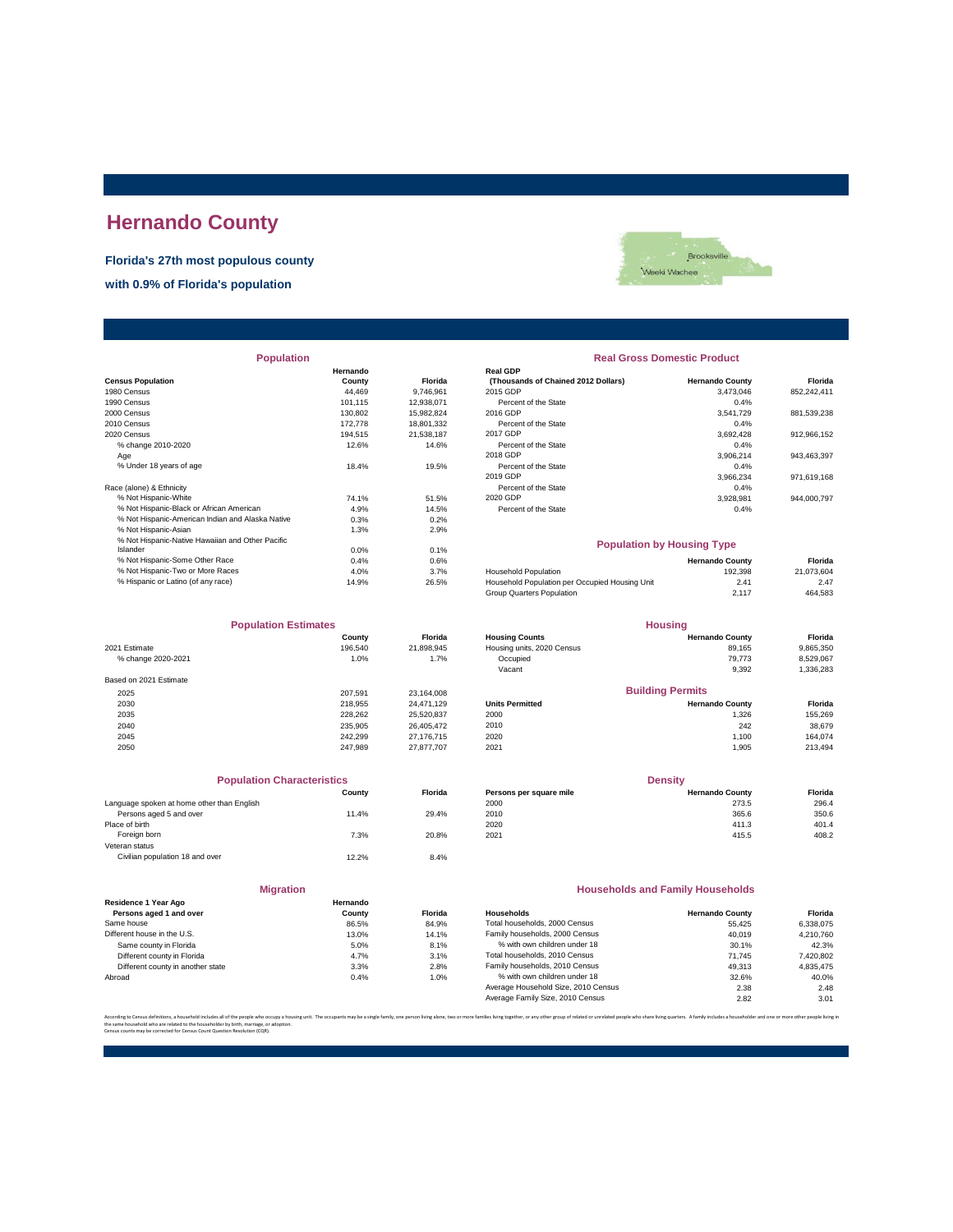# **Hernando County**

**Florida's 27th most populous county**

**with 0.9% of Florida's population**



| <b>Population</b>                                |          |            | <b>Real Gross Domestic Product</b>             |                        |             |  |
|--------------------------------------------------|----------|------------|------------------------------------------------|------------------------|-------------|--|
|                                                  | Hernando |            | <b>Real GDP</b>                                |                        |             |  |
| <b>Census Population</b>                         | County   | Florida    | (Thousands of Chained 2012 Dollars)            | <b>Hernando County</b> | Florida     |  |
| 1980 Census                                      | 44.469   | 9.746.961  | 2015 GDP                                       | 3,473,046              | 852,242,411 |  |
| 1990 Census                                      | 101.115  | 12.938.071 | Percent of the State                           | 0.4%                   |             |  |
| 2000 Census                                      | 130,802  | 15.982.824 | 2016 GDP                                       | 3.541.729              | 881,539,238 |  |
| 2010 Census                                      | 172,778  | 18,801,332 | Percent of the State                           | 0.4%                   |             |  |
| 2020 Census                                      | 194.515  | 21,538,187 | 2017 GDP                                       | 3.692.428              | 912,966,152 |  |
| % change 2010-2020                               | 12.6%    | 14.6%      | Percent of the State                           | 0.4%                   |             |  |
| Age                                              |          |            | 2018 GDP                                       | 3,906,214              | 943,463,397 |  |
| % Under 18 years of age                          | 18.4%    | 19.5%      | Percent of the State                           | 0.4%                   |             |  |
|                                                  |          |            | 2019 GDP                                       | 3,966,234              | 971,619,168 |  |
| Race (alone) & Ethnicity                         |          |            | Percent of the State                           | 0.4%                   |             |  |
| % Not Hispanic-White                             | 74.1%    | 51.5%      | 2020 GDP                                       | 3,928,981              | 944,000,797 |  |
| % Not Hispanic-Black or African American         | 4.9%     | 14.5%      | Percent of the State                           | 0.4%                   |             |  |
| % Not Hispanic-American Indian and Alaska Native | 0.3%     | 0.2%       |                                                |                        |             |  |
| % Not Hispanic-Asian                             | 1.3%     | 2.9%       |                                                |                        |             |  |
| % Not Hispanic-Native Hawaiian and Other Pacific |          |            | <b>Population by Housing Type</b>              |                        |             |  |
| Islander                                         | 0.0%     | 0.1%       |                                                |                        |             |  |
| % Not Hispanic-Some Other Race                   | 0.4%     | 0.6%       |                                                | <b>Hernando County</b> | Florida     |  |
| % Not Hispanic-Two or More Races                 | 4.0%     | 3.7%       | <b>Household Population</b>                    | 192,398                | 21,073,604  |  |
| % Hispanic or Latino (of any race)               | 14.9%    | 26.5%      | Household Population per Occupied Housing Unit | 2.41                   | 2.47        |  |
|                                                  |          |            |                                                |                        |             |  |

| <b>Population Estimates</b> |         | <b>Housing</b> |                            |                         |           |
|-----------------------------|---------|----------------|----------------------------|-------------------------|-----------|
|                             | County  | <b>Florida</b> | <b>Housing Counts</b>      | <b>Hernando County</b>  | Florida   |
| 2021 Estimate               | 196,540 | 21,898,945     | Housing units, 2020 Census | 89,165                  | 9,865,350 |
| % change 2020-2021          | 1.0%    | 1.7%           | Occupied                   | 79.773                  | 8,529,067 |
|                             |         |                | Vacant                     | 9,392                   | 1,336,283 |
| Based on 2021 Estimate      |         |                |                            |                         |           |
| 2025                        | 207.591 | 23.164.008     |                            | <b>Building Permits</b> |           |
| 2030                        | 218.955 | 24.471.129     | <b>Units Permitted</b>     | <b>Hernando County</b>  | Florida   |
| 2035                        | 228.262 | 25,520,837     | 2000                       | 1.326                   | 155,269   |
| 2040                        | 235.905 | 26.405.472     | 2010                       | 242                     | 38,679    |
| 2045                        | 242.299 | 27.176.715     | 2020                       | 1.100                   | 164.074   |
| 2050                        | 247.989 | 27.877.707     | 2021                       | 1.905                   | 213,494   |

| <b>Population Characteristics</b>          |        |         |
|--------------------------------------------|--------|---------|
|                                            | County | Florida |
| Language spoken at home other than English |        |         |
| Persons aged 5 and over                    | 11.4%  | 29.4%   |
| Place of birth                             |        |         |
| Foreign born                               | 7.3%   | 20.8%   |
| Veteran status                             |        |         |
| Civilian population 18 and over            | 12.2%  | 8.4%    |

| <b>Migration</b>                                |                    |       |
|-------------------------------------------------|--------------------|-------|
| Residence 1 Year Ago<br>Persons aged 1 and over | Hernando<br>County | Flori |
| Same house                                      | 86.5%              | 84.9  |
| Different house in the U.S.                     | 13.0%              | 14.1  |
| Same county in Florida                          | 5.0%               | 8.1   |
| Different county in Florida                     | 4.7%               | 3.1   |
| Different county in another state               | 3.3%               | 2.8   |
| Abroad                                          | 0.4%               | 1.0   |

| <b>Real Gross Domestic Product</b>                     |                        |             |
|--------------------------------------------------------|------------------------|-------------|
| <b>Real GDP</b><br>(Thousands of Chained 2012 Dollars) | <b>Hernando County</b> | Florida     |
| 2015 GDP                                               | 3.473.046              | 852.242.411 |
| Percent of the State                                   | 0.4%                   |             |
| 2016 GDP                                               | 3.541.729              | 881.539.238 |
| Percent of the State                                   | 0.4%                   |             |
| 2017 GDP                                               | 3.692.428              | 912.966.152 |
| Percent of the State                                   | 0.4%                   |             |
| 2018 GDP                                               | 3.906.214              | 943.463.397 |
| Percent of the State                                   | 0.4%                   |             |
| 2019 GDP                                               | 3.966.234              | 971.619.168 |
| Percent of the State                                   | 0.4%                   |             |
| 2020 GDP                                               | 3.928.981              | 944.000.797 |
| Percent of the State                                   | 0.4%                   |             |
| <b>Population by Housing Type</b>                      |                        |             |
|                                                        | <b>Hernando County</b> | Florida     |
| <b>Household Population</b>                            | 192,398                | 21.073.604  |
| Household Population per Occupied Housing Unit         | 2.41                   | 2.47        |
| Group Quarters Population                              | 2.117                  | 464.583     |

| <b>Population Estimates</b> |         | <b>Housing</b> |                            |                         |           |
|-----------------------------|---------|----------------|----------------------------|-------------------------|-----------|
|                             | County  | <b>Florida</b> | <b>Housing Counts</b>      | <b>Hernando County</b>  | Florida   |
| 2021 Estimate               | 196,540 | 21.898.945     | Housing units, 2020 Census | 89.165                  | 9,865,350 |
| % change 2020-2021          | 1.0%    | 1.7%           | Occupied                   | 79.773                  | 8.529.067 |
|                             |         |                | Vacant                     | 9,392                   | 1,336,283 |
| Based on 2021 Estimate      |         |                |                            |                         |           |
| 2025                        | 207.591 | 23.164.008     |                            | <b>Building Permits</b> |           |
| 2030                        | 218,955 | 24.471.129     | <b>Units Permitted</b>     | <b>Hernando County</b>  | Florida   |
| 2035                        | 228,262 | 25,520,837     | 2000                       | 1.326                   | 155.269   |
| 2040                        | 235.905 | 26.405.472     | 2010                       | 242                     | 38,679    |
| 2045                        | 242.299 | 27.176.715     | 2020                       | 1,100                   | 164.074   |

| <b>Population Characteristics</b> |         |                         | <b>Density</b>         |         |  |
|-----------------------------------|---------|-------------------------|------------------------|---------|--|
| Countv                            | Florida | Persons per square mile | <b>Hernando County</b> | Florida |  |
|                                   |         | 2000                    | 273.5                  | 296.4   |  |
| 11.4%                             | 29.4%   | 2010                    | 365.6                  | 350.6   |  |
|                                   |         | 2020                    | 411.3                  | 401.4   |  |
| 7.3%                              | 20.8%   | 2021                    | 415.5                  | 408.2   |  |
|                                   |         |                         |                        |         |  |

### **Households and Family Households**

| County | <b>Florida</b> | Households                          | <b>Hernando County</b> | Florida   |
|--------|----------------|-------------------------------------|------------------------|-----------|
| 86.5%  | 84.9%          | Total households, 2000 Census       | 55.425                 | 6.338.075 |
| 13.0%  | 14.1%          | Family households, 2000 Census      | 40.019                 | 4.210.760 |
| 5.0%   | 8.1%           | % with own children under 18        | 30.1%                  | 42.3%     |
| 4.7%   | 3.1%           | Total households, 2010 Census       | 71.745                 | 7,420,802 |
| 3.3%   | 2.8%           | Family households, 2010 Census      | 49.313                 | 4.835.475 |
| 0.4%   | 1.0%           | % with own children under 18        | 32.6%                  | 40.0%     |
|        |                | Average Household Size, 2010 Census | 2.38                   | 2.48      |
|        |                | Average Family Size, 2010 Census    | 2.82                   | 3.01      |
|        | Hernando       |                                     |                        |           |

.<br>ther, or any other group of related or unrelated people who share living quarters. A family includes a householder and one or more other per the same household who are related to the householder by birth, marriage, or adoption. Census counts may be corrected for Census Count Question Resolution (CQR).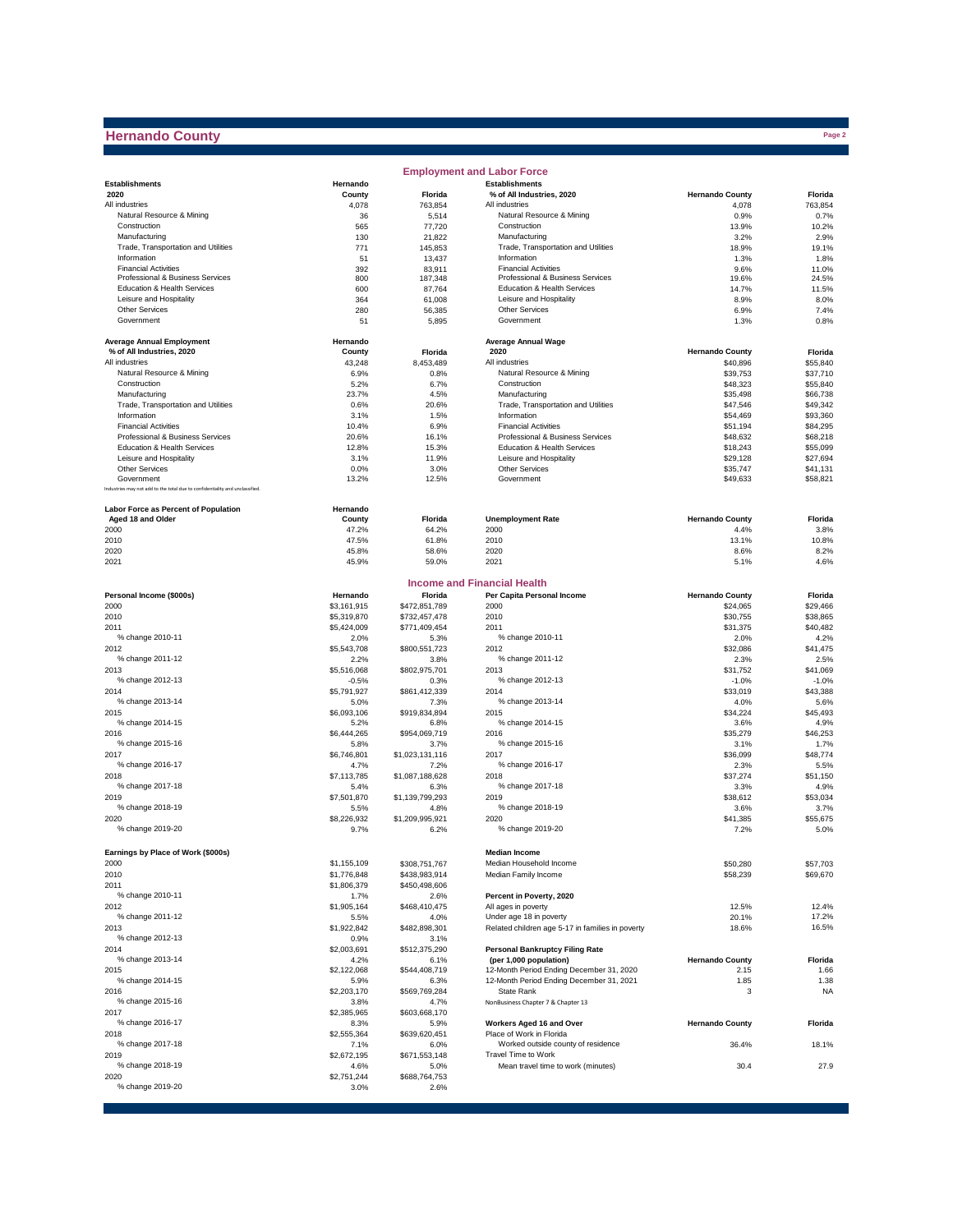# **Hernando County**

|                                                                              |                     |                         | <b>Employment and Labor Force</b>                               |                        |                  |
|------------------------------------------------------------------------------|---------------------|-------------------------|-----------------------------------------------------------------|------------------------|------------------|
| <b>Establishments</b>                                                        | Hernando            |                         | <b>Establishments</b>                                           |                        |                  |
| 2020                                                                         | County              | Florida                 | % of All Industries, 2020                                       | <b>Hernando County</b> | Florida          |
| All industries                                                               | 4,078               | 763,854                 | All industries                                                  | 4,078                  | 763.854          |
| Natural Resource & Mining                                                    | 36                  | 5,514                   | Natural Resource & Mining                                       | 0.9%                   | 0.7%             |
| Construction                                                                 | 565                 | 77,720                  | Construction                                                    | 13.9%                  | 10.2%            |
| Manufacturing                                                                | 130                 | 21,822                  | Manufacturing                                                   | 3.2%                   | 2.9%             |
| Trade, Transportation and Utilities                                          | 771                 | 145.853                 | Trade, Transportation and Utilities                             | 18.9%                  | 19.1%            |
| Information                                                                  | 51                  | 13,437                  | Information                                                     | 1.3%                   | 1.8%             |
| <b>Financial Activities</b><br>Professional & Business Services              | 392<br>800          | 83,911<br>187,348       | <b>Financial Activities</b><br>Professional & Business Services | 9.6%<br>19.6%          | 11.0%<br>24.5%   |
| Education & Health Services                                                  | 600                 | 87,764                  | Education & Health Services                                     | 14.7%                  | 11.5%            |
| Leisure and Hospitality                                                      | 364                 | 61,008                  | Leisure and Hospitality                                         | 8.9%                   | 8.0%             |
| Other Services                                                               | 280                 | 56,385                  | Other Services                                                  | 6.9%                   | 7.4%             |
| Government                                                                   | 51                  | 5,895                   | Government                                                      | 1.3%                   | 0.8%             |
|                                                                              |                     |                         |                                                                 |                        |                  |
| <b>Average Annual Employment</b><br>% of All Industries, 2020                | Hernando<br>County  | Florida                 | <b>Average Annual Wage</b><br>2020                              | <b>Hernando County</b> | Florida          |
| All industries                                                               | 43,248              | 8,453,489               | All industries                                                  | \$40,896               | \$55,840         |
| Natural Resource & Mining                                                    | 6.9%                | 0.8%                    | Natural Resource & Mining                                       | \$39,753               | \$37,710         |
| Construction                                                                 | 5.2%                | 6.7%                    | Construction                                                    | \$48,323               | \$55,840         |
| Manufacturing                                                                | 23.7%               | 4.5%                    | Manufacturing                                                   | \$35,498               | \$66,738         |
| Trade, Transportation and Utilities                                          | 0.6%                | 20.6%                   | Trade, Transportation and Utilities                             | \$47,546               | \$49,342         |
| Information                                                                  | 3.1%                | 1.5%                    | Information                                                     | \$54,469               | \$93,360         |
| <b>Financial Activities</b>                                                  | 10.4%               | 6.9%                    | <b>Financial Activities</b>                                     | \$51,194               | \$84,295         |
| Professional & Business Services                                             | 20.6%               | 16.1%                   | Professional & Business Services                                | \$48,632               | \$68,218         |
| Education & Health Services                                                  | 12.8%               | 15.3%                   | Education & Health Services                                     | \$18,243               | \$55,099         |
| Leisure and Hospitality                                                      | 3.1%                | 11.9%                   | Leisure and Hospitality                                         | \$29,128               | \$27,694         |
| <b>Other Services</b>                                                        | 0.0%                | 3.0%                    | Other Services                                                  | \$35,747               | \$41,131         |
| Government                                                                   | 13.2%               | 12.5%                   | Government                                                      | \$49.633               | \$58,821         |
| Industries may not add to the total due to confidentiality and unclassified. |                     |                         |                                                                 |                        |                  |
| <b>Labor Force as Percent of Population</b>                                  | Hernando            |                         |                                                                 |                        |                  |
| Aged 18 and Older                                                            | County              | Florida                 | <b>Unemployment Rate</b>                                        | <b>Hernando County</b> | Florida          |
| 2000                                                                         | 47.2%               | 64.2%                   | 2000                                                            | 4.4%                   | 3.8%             |
| 2010                                                                         | 47.5%               | 61.8%                   | 2010                                                            | 13.1%                  | 10.8%            |
| 2020                                                                         | 45.8%               | 58.6%                   | 2020                                                            | 8.6%                   | 8.2%             |
| 2021                                                                         | 45.9%               | 59.0%                   | 2021                                                            | 5.1%                   | 4.6%             |
|                                                                              |                     |                         | <b>Income and Financial Health</b>                              |                        |                  |
| Personal Income (\$000s)                                                     | Hernando            | Florida                 | Per Capita Personal Income                                      | <b>Hernando County</b> | Florida          |
| 2000                                                                         | \$3,161,915         | \$472,851,789           | 2000                                                            | \$24,065               | \$29,466         |
| 2010                                                                         | \$5,319,870         | \$732,457,478           | 2010                                                            | \$30,755               | \$38,865         |
| 2011                                                                         | \$5,424,009         | \$771,409,454           | 2011                                                            | \$31,375               | \$40,482         |
| % change 2010-11                                                             | 2.0%                | 5.3%                    | % change 2010-11                                                | 2.0%                   | 4.2%             |
| 2012                                                                         | \$5,543,708         | \$800,551,723           | 2012                                                            | \$32,086               | \$41,475         |
| % change 2011-12                                                             | 2.2%                | 3.8%                    | % change 2011-12                                                | 2.3%                   | 2.5%             |
| 2013                                                                         | \$5,516,068         | \$802,975,701           | 2013                                                            | \$31,752               | \$41,069         |
| % change 2012-13                                                             | $-0.5%$             | 0.3%                    | % change 2012-13                                                | $-1.0%$                | $-1.0%$          |
| 2014                                                                         | \$5,791,927         | \$861,412,339           | 2014                                                            | \$33,019               | \$43,388         |
| % change 2013-14                                                             | 5.0%                | 7.3%                    | % change 2013-14                                                | 4.0%                   | 5.6%             |
| 2015                                                                         | \$6,093,106         | \$919,834,894           | 2015                                                            | \$34,224               | \$45,493         |
| % change 2014-15                                                             | 5.2%                | 6.8%                    | % change 2014-15                                                | 3.6%                   | 4.9%             |
| 2016                                                                         | \$6,444,265         | \$954,069,719           | 2016                                                            | \$35,279               | \$46,253         |
| % change 2015-16                                                             | 5.8%                | 3.7%                    | % change 2015-16                                                | 3.1%                   | 1.7%             |
| 2017                                                                         | \$6,746,801         | \$1,023,131,116         | 2017                                                            | \$36,099               | \$48,774         |
| % change 2016-17                                                             | 4.7%                | 7.2%                    | % change 2016-17                                                | 2.3%                   | 5.5%             |
| 2018                                                                         | \$7,113,785         | \$1,087,188,628         | 2018                                                            | \$37,274               | \$51,150         |
| % change 2017-18                                                             | 5.4%                | 6.3%                    | % change 2017-18                                                | 3.3%                   | 4.9%             |
| 2019                                                                         | \$7,501,870         | \$1,139,799,293         | 2019                                                            | \$38,612               | \$53.034         |
| % change 2018-19                                                             | 5.5%                | 4.8%                    | % change 2018-19                                                | 3.6%                   | 3.7%             |
| 2020<br>% change 2019-20                                                     | \$8,226,932<br>9.7% | \$1,209,995,921<br>6.2% | 2020<br>% change 2019-20                                        | \$41,385<br>7.2%       | \$55,675<br>5.0% |
|                                                                              |                     |                         |                                                                 |                        |                  |
| Earnings by Place of Work (\$000s)                                           |                     |                         | <b>Median Income</b>                                            |                        |                  |
| 2000                                                                         | \$1,155,109         | \$308,751,767           | Median Household Income                                         | \$50,280               | \$57,703         |
| 2010                                                                         | \$1,776,848         | \$438,983,914           | Median Family Income                                            | \$58,239               | \$69,670         |
| 2011                                                                         | \$1,806,379         | \$450,498,606           |                                                                 |                        |                  |
| % change 2010-11                                                             | 1.7%                | 2.6%                    | Percent in Poverty, 2020                                        |                        |                  |
| 2012                                                                         | \$1,905,164         | \$468,410,475           | All ages in poverty                                             | 12.5%                  | 12.4%            |
| % change 2011-12                                                             | 5.5%                | 4.0%                    | Under age 18 in poverty                                         | 20.1%                  | 17.2%            |
| 2013                                                                         | \$1,922,842         | \$482,898,301           | Related children age 5-17 in families in poverty                | 18.6%                  | 16.5%            |
| % change 2012-13                                                             | 0.9%                | 3.1%                    |                                                                 |                        |                  |
| 2014                                                                         | \$2,003,691         | \$512,375,290           | <b>Personal Bankruptcy Filing Rate</b>                          |                        |                  |
| % change 2013-14                                                             | 4.2%                | 6.1%                    | (per 1,000 population)                                          | <b>Hernando County</b> | Florida          |
| 2015                                                                         | \$2,122,068         | \$544,408,719           | 12-Month Period Ending December 31, 2020                        | 2.15                   | 1.66             |
| % change 2014-15                                                             | 5.9%                | 6.3%                    | 12-Month Period Ending December 31, 2021                        | 1.85                   | 1.38             |
| 2016                                                                         | \$2,203,170         | \$569,769,284           | State Rank                                                      | 3                      | <b>NA</b>        |
| % change 2015-16<br>2017                                                     | 3.8%<br>\$2,385,965 | 4.7%<br>\$603,668,170   | NonBusiness Chapter 7 & Chapter 13                              |                        |                  |
| % change 2016-17                                                             | 8.3%                | 5.9%                    | Workers Aged 16 and Over                                        | <b>Hernando County</b> | Florida          |
| 2018                                                                         | \$2,555,364         | \$639,620,451           | Place of Work in Florida                                        |                        |                  |
| % change 2017-18                                                             | 7.1%                | 6.0%                    | Worked outside county of residence                              | 36.4%                  | 18.1%            |
| 2019                                                                         | \$2,672,195         | \$671,553,148           | Travel Time to Work                                             |                        |                  |
| % change 2018-19                                                             | 4.6%                | 5.0%                    | Mean travel time to work (minutes)                              | 30.4                   | 27.9             |
| 2020                                                                         | \$2,751,244         | \$688,764,753           |                                                                 |                        |                  |
| % change 2019-20                                                             | 3.0%                | 2.6%                    |                                                                 |                        |                  |